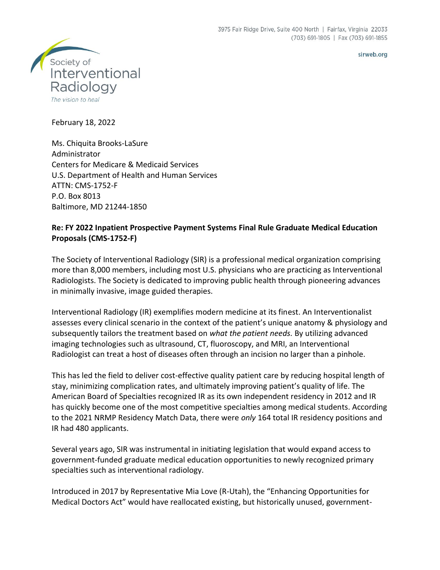sirweb.org



February 18, 2022

Ms. Chiquita Brooks-LaSure Administrator Centers for Medicare & Medicaid Services U.S. Department of Health and Human Services ATTN: CMS-1752-F P.O. Box 8013 Baltimore, MD 21244-1850

## **Re: FY 2022 Inpatient Prospective Payment Systems Final Rule Graduate Medical Education Proposals (CMS-1752-F)**

The Society of Interventional Radiology (SIR) is a professional medical organization comprising more than 8,000 members, including most U.S. physicians who are practicing as Interventional Radiologists. The Society is dedicated to improving public health through pioneering advances in minimally invasive, image guided therapies.

Interventional Radiology (IR) exemplifies modern medicine at its finest. An Interventionalist assesses every clinical scenario in the context of the patient's unique anatomy & physiology and subsequently tailors the treatment based on *what the patient needs.* By utilizing advanced imaging technologies such as ultrasound, CT, fluoroscopy, and MRI, an Interventional Radiologist can treat a host of diseases often through an incision no larger than a pinhole.

This has led the field to deliver cost-effective quality patient care by reducing hospital length of stay, minimizing complication rates, and ultimately improving patient's quality of life. The American Board of Specialties recognized IR as its own independent residency in 2012 and IR has quickly become one of the most competitive specialties among medical students. According to the 2021 NRMP Residency Match Data, there were *only* 164 total IR residency positions and IR had 480 applicants.

Several years ago, SIR was instrumental in initiating legislation that would expand access to government-funded graduate medical education opportunities to newly recognized primary specialties such as interventional radiology.

Introduced in 2017 by Representative Mia Love (R-Utah), the "Enhancing Opportunities for Medical Doctors Act" would have reallocated existing, but historically unused, government-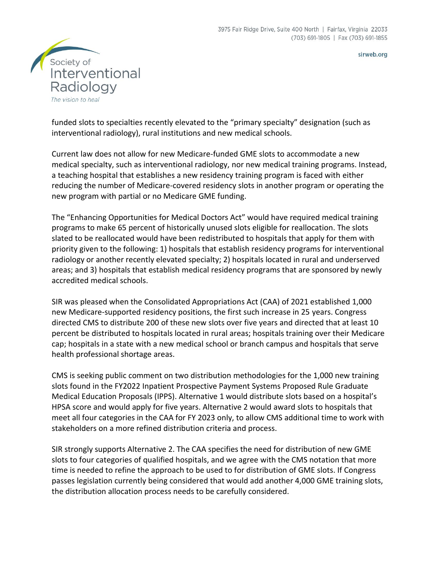



funded slots to specialties recently elevated to the "primary specialty" designation (such as interventional radiology), rural institutions and new medical schools.

Current law does not allow for new Medicare-funded GME slots to accommodate a new medical specialty, such as interventional radiology, nor new medical training programs. Instead, a teaching hospital that establishes a new residency training program is faced with either reducing the number of Medicare-covered residency slots in another program or operating the new program with partial or no Medicare GME funding.

The "Enhancing Opportunities for Medical Doctors Act" would have required medical training programs to make 65 percent of historically unused slots eligible for reallocation. The slots slated to be reallocated would have been redistributed to hospitals that apply for them with priority given to the following: 1) hospitals that establish residency programs for interventional radiology or another recently elevated specialty; 2) hospitals located in rural and underserved areas; and 3) hospitals that establish medical residency programs that are sponsored by newly accredited medical schools.

SIR was pleased when the Consolidated Appropriations Act (CAA) of 2021 established 1,000 new Medicare-supported residency positions, the first such increase in 25 years. Congress directed CMS to distribute 200 of these new slots over five years and directed that at least 10 percent be distributed to hospitals located in rural areas; hospitals training over their Medicare cap; hospitals in a state with a new medical school or branch campus and hospitals that serve health professional shortage areas.

CMS is seeking public comment on two distribution methodologies for the 1,000 new training slots found in the FY2022 Inpatient Prospective Payment Systems Proposed Rule Graduate Medical Education Proposals (IPPS). Alternative 1 would distribute slots based on a hospital's HPSA score and would apply for five years. Alternative 2 would award slots to hospitals that meet all four categories in the CAA for FY 2023 only, to allow CMS additional time to work with stakeholders on a more refined distribution criteria and process.

SIR strongly supports Alternative 2. The CAA specifies the need for distribution of new GME slots to four categories of qualified hospitals, and we agree with the CMS notation that more time is needed to refine the approach to be used to for distribution of GME slots. If Congress passes legislation currently being considered that would add another 4,000 GME training slots, the distribution allocation process needs to be carefully considered.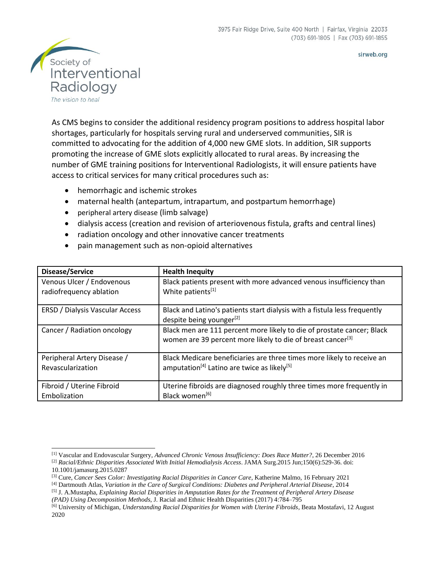

As CMS begins to consider the additional residency program positions to address hospital labor shortages, particularly for hospitals serving rural and underserved communities, SIR is committed to advocating for the addition of 4,000 new GME slots. In addition, SIR supports promoting the increase of GME slots explicitly allocated to rural areas. By increasing the number of GME training positions for Interventional Radiologists, it will ensure patients have access to critical services for many critical procedures such as:

- hemorrhagic and ischemic strokes
- maternal health (antepartum, intrapartum, and postpartum hemorrhage)
- peripheral artery disease (limb salvage)
- dialysis access (creation and revision of arteriovenous fistula, grafts and central lines)
- radiation oncology and other innovative cancer treatments
- pain management such as non-opioid alternatives

| Disease/Service                        | <b>Health Inequity</b>                                                                                                                            |
|----------------------------------------|---------------------------------------------------------------------------------------------------------------------------------------------------|
| Venous Ulcer / Endovenous              | Black patients present with more advanced venous insufficiency than                                                                               |
| radiofrequency ablation                | White patients[1]                                                                                                                                 |
| <b>ERSD / Dialysis Vascular Access</b> | Black and Latino's patients start dialysis with a fistula less frequently<br>despite being younger <sup>[2]</sup>                                 |
| Cancer / Radiation oncology            | Black men are 111 percent more likely to die of prostate cancer; Black<br>women are 39 percent more likely to die of breast cancer <sup>[3]</sup> |
| Peripheral Artery Disease /            | Black Medicare beneficiaries are three times more likely to receive an                                                                            |
| Revascularization                      | amputation <sup>[4]</sup> Latino are twice as likely <sup>[5]</sup>                                                                               |
| Fibroid / Uterine Fibroid              | Uterine fibroids are diagnosed roughly three times more frequently in                                                                             |
| Embolization                           | Black women <sup>[6]</sup>                                                                                                                        |

sirweb.org

<sup>[1]</sup> Vascular and Endovascular Surgery, *Advanced Chronic Venous Insufficiency: Does Race Matter?*, 26 December 2016 [2] *Racial/Ethnic Disparities Associated With Initial Hemodialysis Access*. JAMA Surg.2015 Jun;150(6):529-36. doi: 10.1001/jamasurg.2015.0287

<sup>[3]</sup> Cure, *Cancer Sees Color: Investigating Racial Disparities in Cancer Care*, Katherine Malmo, 16 February 2021

<sup>[4]</sup> Dartmouth Atlas, *Variation in the Care of Surgical Conditions: Diabetes and Peripheral Arterial Disease*, 2014

<sup>[5]</sup> J. A.Mustapha, *Explaining Racial Disparities in Amputation Rates for the Treatment of Peripheral Artery Disease*

*<sup>(</sup>PAD) Using Decomposition Methods*, J. Racial and Ethnic Health Disparities (2017) 4:784–795

<sup>[6]</sup> University of Michigan, *Understanding Racial Disparities for Women with Uterine Fibroids*, Beata Mostafavi, 12 August 2020